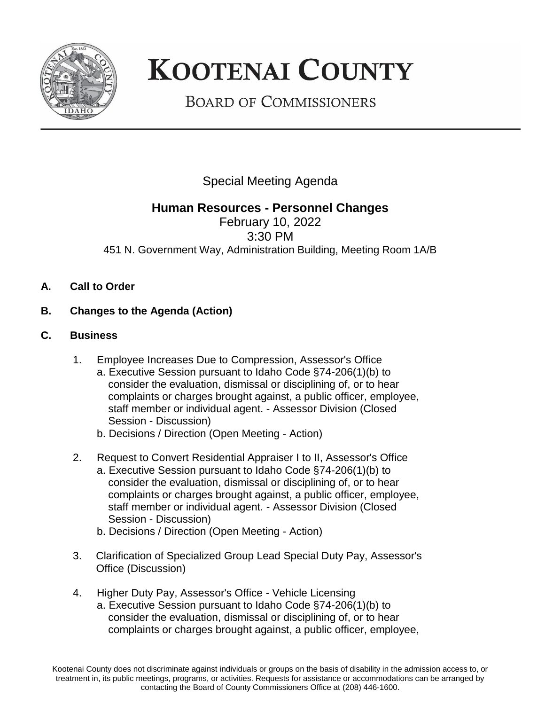

## **KOOTENAI COUNTY**

**BOARD OF COMMISSIONERS** 

Special Meeting Agenda

## **Human Resources - Personnel Changes**

February 10, 2022 3:30 PM 451 N. Government Way, Administration Building, Meeting Room 1A/B

- **A. Call to Order**
- **B. Changes to the Agenda (Action)**
- **C. Business**
	- 1. Employee Increases Due to Compression, Assessor's Office a. Executive Session pursuant to Idaho Code §74-206(1)(b) to consider the evaluation, dismissal or disciplining of, or to hear complaints or charges brought against, a public officer, employee, staff member or individual agent. - Assessor Division (Closed Session - Discussion)
		- b. Decisions / Direction (Open Meeting Action)
	- 2. Request to Convert Residential Appraiser I to II, Assessor's Office
		- a. Executive Session pursuant to Idaho Code §74-206(1)(b) to consider the evaluation, dismissal or disciplining of, or to hear complaints or charges brought against, a public officer, employee, staff member or individual agent. - Assessor Division (Closed Session - Discussion)
		- b. Decisions / Direction (Open Meeting Action)
	- 3. Clarification of Specialized Group Lead Special Duty Pay, Assessor's Office (Discussion)
	- 4. Higher Duty Pay, Assessor's Office Vehicle Licensing a. Executive Session pursuant to Idaho Code §74-206(1)(b) to consider the evaluation, dismissal or disciplining of, or to hear complaints or charges brought against, a public officer, employee,

Kootenai County does not discriminate against individuals or groups on the basis of disability in the admission access to, or treatment in, its public meetings, programs, or activities. Requests for assistance or accommodations can be arranged by contacting the Board of County Commissioners Office at (208) 446-1600.